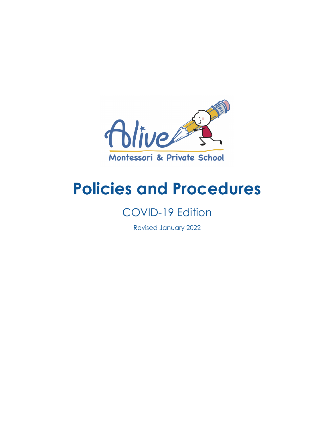

# **Policies and Procedures**

## COVID-19 Edition

Revised January 2022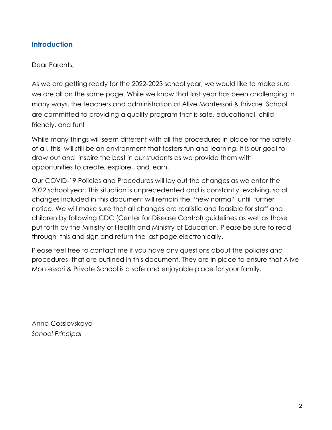## **Introduction**

Dear Parents,

As we are getting ready for the 2022-2023 school year, we would like to make sure we are all on the same page. While we know that last year has been challenging in many ways, the teachers and administration at Alive Montessori & Private School are committed to providing a quality program that is safe, educational, child friendly, and fun!

While many things will seem different with all the procedures in place for the safety of all, this will still be an environment that fosters fun and learning. It is our goal to draw out and inspire the best in our students as we provide them with opportunities to create, explore, and learn.

Our COVID-19 Policies and Procedures will lay out the changes as we enter the 2022 school year. This situation is unprecedented and is constantly evolving, so all changes included in this document will remain the "new normal" until further notice. We will make sure that all changes are realistic and feasible for staff and children by following CDC (Center for Disease Control) guidelines as well as those put forth by the Ministry of Health and Ministry of Education. Please be sure to read through this and sign and return the last page electronically.

Please feel free to contact me if you have any questions about the policies and procedures that are outlined in this document. They are in place to ensure that Alive Montessori & Private School is a safe and enjoyable place for your family.

Anna Cosslovskaya *School Principal*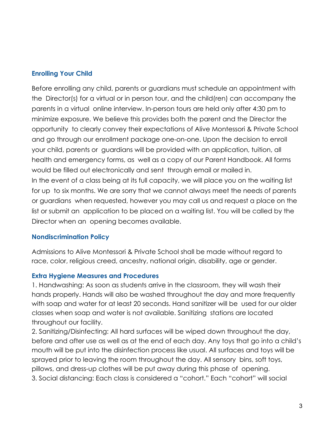#### **Enrolling Your Child**

Before enrolling any child, parents or guardians must schedule an appointment with the Director(s) for a virtual or in person tour, and the child(ren) can accompany the parents in a virtual online interview. In-person tours are held only after 4:30 pm to minimize exposure. We believe this provides both the parent and the Director the opportunity to clearly convey their expectations of Alive Montessori & Private School and go through our enrollment package one-on-one. Upon the decision to enroll your child, parents or guardians will be provided with an application, tuition, all health and emergency forms, as well as a copy of our Parent Handbook. All forms would be filled out electronically and sent through email or mailed in. In the event of a class being at its full capacity, we will place you on the waiting list for up to six months. We are sorry that we cannot always meet the needs of parents or guardians when requested, however you may call us and request a place on the list or submit an application to be placed on a waiting list. You will be called by the Director when an opening becomes available.

#### **Nondiscrimination Policy**

Admissions to Alive Montessori & Private School shall be made without regard to race, color, religious creed, ancestry, national origin, disability, age or gender.

#### **Extra Hygiene Measures and Procedures**

1. Handwashing: As soon as students arrive in the classroom, they will wash their hands properly. Hands will also be washed throughout the day and more frequently with soap and water for at least 20 seconds. Hand sanitizer will be used for our older classes when soap and water is not available. Sanitizing stations are located throughout our facility.

2. Sanitizing/Disinfecting: All hard surfaces will be wiped down throughout the day, before and after use as well as at the end of each day. Any toys that go into a child's mouth will be put into the disinfection process like usual. All surfaces and toys will be sprayed prior to leaving the room throughout the day. All sensory bins, soft toys, pillows, and dress-up clothes will be put away during this phase of opening. 3. Social distancing: Each class is considered a "cohort." Each "cohort" will social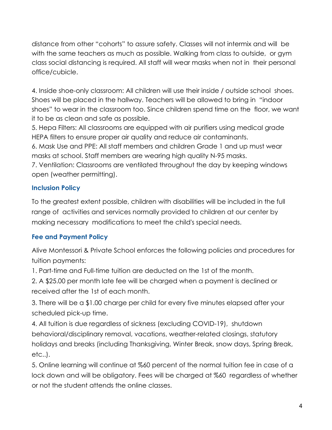distance from other "cohorts" to assure safety. Classes will not intermix and will be with the same teachers as much as possible. Walking from class to outside, or gym class social distancing is required. All staff will wear masks when not in their personal office/cubicle.

4. Inside shoe-only classroom: All children will use their inside / outside school shoes. Shoes will be placed in the hallway. Teachers will be allowed to bring in "indoor shoes" to wear in the classroom too. Since children spend time on the floor, we want it to be as clean and safe as possible.

5. Hepa Filters: All classrooms are equipped with air purifiers using medical grade HEPA filters to ensure proper air quality and reduce air contaminants.

6. Mask Use and PPE: All staff members and children Grade 1 and up must wear masks at school. Staff members are wearing high quality N-95 masks.

7. Ventilation: Classrooms are ventilated throughout the day by keeping windows open (weather permitting).

## **Inclusion Policy**

To the greatest extent possible, children with disabilities will be included in the full range of activities and services normally provided to children at our center by making necessary modifications to meet the child's special needs.

## **Fee and Payment Policy**

Alive Montessori & Private School enforces the following policies and procedures for tuition payments:

1. Part-time and Full-time tuition are deducted on the 1st of the month.

2. A \$25.00 per month late fee will be charged when a payment is declined or received after the 1st of each month.

3. There will be a \$1.00 charge per child for every five minutes elapsed after your scheduled pick-up time.

4. All tuition is due regardless of sickness (excluding COVID-19), shutdown behavioral/disciplinary removal, vacations, weather-related closings, statutory holidays and breaks (including Thanksgiving, Winter Break, snow days, Spring Break, etc..).

5. Online learning will continue at %60 percent of the normal tuition fee in case of a lock down and will be obligatory. Fees will be charged at %60 regardless of whether or not the student attends the online classes.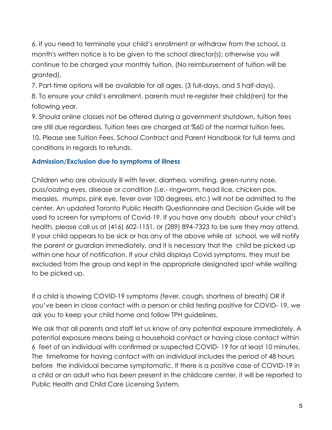6. If you need to terminate your child's enrollment or withdraw from the school, a month's written notice is to be given to the school director(s); otherwise you will continue to be charged your monthly tuition. (No reimbursement of tuition will be granted).

7. Part-time options will be available for all ages. (3 full-days, and 5 half-days).

8. To ensure your child's enrollment, parents must re-register their child(ren) for the following year.

9. Should online classes not be offered during a government shutdown, tuition fees are still due regardless. Tuition fees are charged at %60 of the normal tuition fees. 10. Please see Tuition Fees, School Contract and Parent Handbook for full terms and conditions in regards to refunds.

## **Admission/Exclusion due to symptoms of illness**

Children who are obviously ill with fever, diarrhea, vomiting, green-runny nose, puss/oozing eyes, disease or condition (i.e.- ringworm, head lice, chicken pox, measles, mumps, pink eye, fever over 100 degrees, etc.) will not be admitted to the center. An updated Toronto Public Health Questionnaire and Decision Guide will be used to screen for symptoms of Covid-19. If you have any doubts about your child's health, please call us at (416) 602-1151, or (289) 894-7323 to be sure they may attend. If your child appears to be sick or has any of the above while at school, we will notify the parent or guardian immediately, and it is necessary that the child be picked up within one hour of notification. If your child displays Covid symptoms, they must be excluded from the group and kept in the appropriate designated spot while waiting to be picked up.

If a child is showing COVID-19 symptoms (fever, cough, shortness of breath) OR if you've been in close contact with a person or child testing positive for COVID- 19, we ask you to keep your child home and follow TPH guidelines.

We ask that all parents and staff let us know of any potential exposure immediately. A potential exposure means being a household contact or having close contact within 6 feet of an individual with confirmed or suspected COVID- 19 for at least 10 minutes. The timeframe for having contact with an individual includes the period of 48 hours before the individual became symptomatic. If there is a positive case of COVID-19 in a child or an adult who has been present in the childcare center, it will be reported to Public Health and Child Care Licensing System.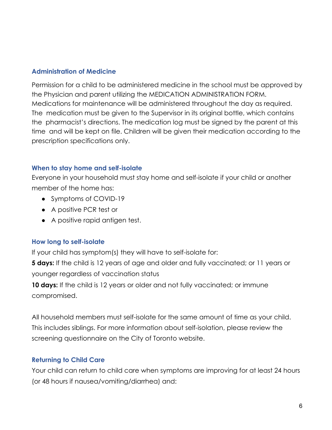#### **Administration of Medicine**

Permission for a child to be administered medicine in the school must be approved by the Physician and parent utilizing the MEDICATION ADMINISTRATION FORM. Medications for maintenance will be administered throughout the day as required. The medication must be given to the Supervisor in its original bottle, which contains the pharmacist's directions. The medication log must be signed by the parent at this time and will be kept on file. Children will be given their medication according to the prescription specifications only.

#### **When to stay home and self-isolate**

Everyone in your household must stay home and self-isolate if your child or another member of the home has:

- Symptoms of COVID-19
- A positive PCR test or
- A positive rapid antigen test.

## **How long to self-isolate**

If your child has symptom(s) they will have to self-isolate for:

**5 days:** If the child is 12 years of age and older and fully vaccinated; or 11 years or younger regardless of vaccination status

**10 days:** If the child is 12 years or older and not fully vaccinated; or immune compromised.

All household members must self-isolate for the same amount of time as your child. This includes siblings. For more information about self-isolation, please review the screening questionnaire on the City of Toronto website.

## **Returning to Child Care**

Your child can return to child care when symptoms are improving for at least 24 hours (or 48 hours if nausea/vomiting/diarrhea) and: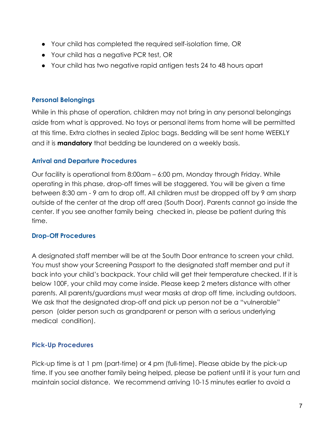- Your child has completed the required self-isolation time, OR
- Your child has a negative PCR test, OR
- Your child has two negative rapid antigen tests 24 to 48 hours apart

## **Personal Belongings**

While in this phase of operation, children may not bring in any personal belongings aside from what is approved. No toys or personal items from home will be permitted at this time. Extra clothes in sealed Ziploc bags. Bedding will be sent home WEEKLY and it is **mandatory** that bedding be laundered on a weekly basis.

## **Arrival and Departure Procedures**

Our facility is operational from 8:00am – 6:00 pm, Monday through Friday. While operating in this phase, drop-off times will be staggered. You will be given a time between 8:30 am - 9 am to drop off. All children must be dropped off by 9 am sharp outside of the center at the drop off area (South Door). Parents cannot go inside the center. If you see another family being checked in, please be patient during this time.

## **Drop-Off Procedures**

A designated staff member will be at the South Door entrance to screen your child. You must show your Screening Passport to the designated staff member and put it back into your child's backpack. Your child will get their temperature checked. If it is below 100F, your child may come inside. Please keep 2 meters distance with other parents. All parents/guardians must wear masks at drop off time, including outdoors. We ask that the designated drop-off and pick up person not be a "vulnerable" person (older person such as grandparent or person with a serious underlying medical condition).

## **Pick-Up Procedures**

Pick-up time is at 1 pm (part-time) or 4 pm (full-time). Please abide by the pick-up time. If you see another family being helped, please be patient until it is your turn and maintain social distance. We recommend arriving 10-15 minutes earlier to avoid a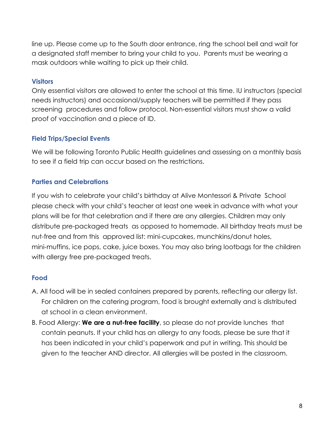line up. Please come up to the South door entrance, ring the school bell and wait for a designated staff member to bring your child to you. Parents must be wearing a mask outdoors while waiting to pick up their child.

#### **Visitors**

Only essential visitors are allowed to enter the school at this time. IU instructors (special needs instructors) and occasional/supply teachers will be permitted if they pass screening procedures and follow protocol. Non-essential visitors must show a valid proof of vaccination and a piece of ID.

#### **Field Trips/Special Events**

We will be following Toronto Public Health guidelines and assessing on a monthly basis to see if a field trip can occur based on the restrictions.

#### **Parties and Celebrations**

If you wish to celebrate your child's birthday at Alive Montessori & Private School please check with your child's teacher at least one week in advance with what your plans will be for that celebration and if there are any allergies. Children may only distribute pre-packaged treats as opposed to homemade. All birthday treats must be nut-free and from this approved list: mini-cupcakes, munchkins/donut holes, mini-muffins, ice pops, cake, juice boxes. You may also bring lootbags for the children with allergy free pre-packaged treats.

#### **Food**

- A. All food will be in sealed containers prepared by parents, reflecting our allergy list. For children on the catering program, food is brought externally and is distributed at school in a clean environment.
- B. Food Allergy: **We are a nut-free facility**, so please do not provide lunches that contain peanuts. If your child has an allergy to any foods, please be sure that it has been indicated in your child's paperwork and put in writing. This should be given to the teacher AND director. All allergies will be posted in the classroom.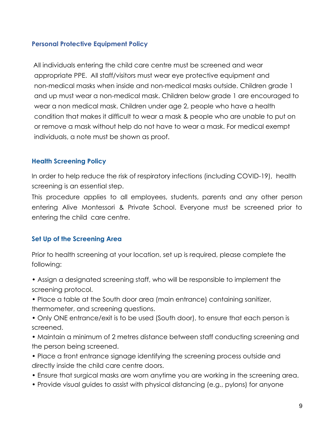#### **Personal Protective Equipment Policy**

All individuals entering the child care centre must be screened and wear appropriate PPE. All staff/visitors must wear eye protective equipment and non-medical masks when inside and non-medical masks outside. Children grade 1 and up must wear a non-medical mask. Children below grade 1 are encouraged to wear a non medical mask. Children under age 2, people who have a health condition that makes it difficult to wear a mask & people who are unable to put on or remove a mask without help do not have to wear a mask. For medical exempt individuals, a note must be shown as proof.

#### **Health Screening Policy**

In order to help reduce the risk of respiratory infections (including COVID-19), health screening is an essential step.

This procedure applies to all employees, students, parents and any other person entering Alive Montessori & Private School. Everyone must be screened prior to entering the child care centre.

## **Set Up of the Screening Area**

Prior to health screening at your location, set up is required, please complete the following:

• Assign a designated screening staff, who will be responsible to implement the screening protocol.

- Place a table at the South door area (main entrance) containing sanitizer, thermometer, and screening questions.
- Only ONE entrance/exit is to be used (South door), to ensure that each person is screened.
- Maintain a minimum of 2 metres distance between staff conducting screening and the person being screened.
- Place a front entrance signage identifying the screening process outside and directly inside the child care centre doors.
- Ensure that surgical masks are worn anytime you are working in the screening area.
- Provide visual guides to assist with physical distancing (e.g., pylons) for anyone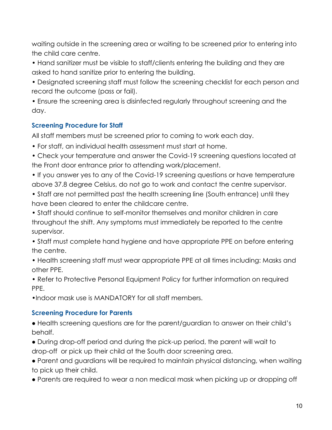waiting outside in the screening area or waiting to be screened prior to entering into the child care centre.

• Hand sanitizer must be visible to staff/clients entering the building and they are asked to hand sanitize prior to entering the building.

• Designated screening staff must follow the screening checklist for each person and record the outcome (pass or fail).

• Ensure the screening area is disinfected regularly throughout screening and the day.

## **Screening Procedure for Staff**

All staff members must be screened prior to coming to work each day.

• For staff, an individual health assessment must start at home.

• Check your temperature and answer the Covid-19 screening questions located at the Front door entrance prior to attending work/placement.

• If you answer yes to any of the Covid-19 screening questions or have temperature above 37.8 degree Celsius, do not go to work and contact the centre supervisor.

• Staff are not permitted past the health screening line (South entrance) until they have been cleared to enter the childcare centre.

• Staff should continue to self-monitor themselves and monitor children in care throughout the shift. Any symptoms must immediately be reported to the centre supervisor.

• Staff must complete hand hygiene and have appropriate PPE on before entering the centre.

• Health screening staff must wear appropriate PPE at all times including: Masks and other PPE.

• Refer to Protective Personal Equipment Policy for further information on required PPE.

•Indoor mask use is MANDATORY for all staff members.

## **Screening Procedure for Parents**

● Health screening questions are for the parent/guardian to answer on their child's behalf.

● During drop-off period and during the pick-up period, the parent will wait to drop-off or pick up their child at the South door screening area.

● Parent and guardians will be required to maintain physical distancing, when waiting to pick up their child.

● Parents are required to wear a non medical mask when picking up or dropping off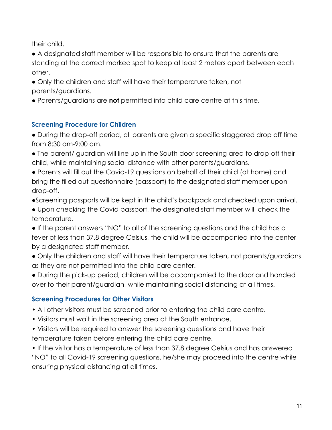their child.

● A designated staff member will be responsible to ensure that the parents are standing at the correct marked spot to keep at least 2 meters apart between each other.

● Only the children and staff will have their temperature taken, not parents/guardians.

● Parents/guardians are **not** permitted into child care centre at this time.

## **Screening Procedure for Children**

● During the drop-off period, all parents are given a specific staggered drop off time from 8:30 am-9:00 am.

- The parent/ guardian will line up in the South door screening area to drop-off their child, while maintaining social distance with other parents/guardians.
- Parents will fill out the Covid-19 questions on behalf of their child (at home) and bring the filled out questionnaire (passport) to the designated staff member upon drop-off.
- ●Screening passports will be kept in the child's backpack and checked upon arrival.
- Upon checking the Covid passport, the designated staff member will check the temperature.
- If the parent answers "NO" to all of the screening questions and the child has a fever of less than 37.8 degree Celsius, the child will be accompanied into the center by a designated staff member.
- Only the children and staff will have their temperature taken, not parents/guardians as they are not permitted into the child care center.

● During the pick-up period, children will be accompanied to the door and handed over to their parent/guardian, while maintaining social distancing at all times.

## **Screening Procedures for Other Visitors**

- All other visitors must be screened prior to entering the child care centre.
- Visitors must wait in the screening area at the South entrance.
- Visitors will be required to answer the screening questions and have their temperature taken before entering the child care centre.

• If the visitor has a temperature of less than 37.8 degree Celsius and has answered "NO" to all Covid-19 screening questions, he/she may proceed into the centre while ensuring physical distancing at all times.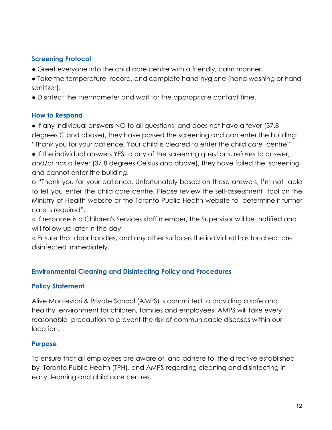## **Screening Protocol**

- Greet everyone into the child care centre with a friendly, calm manner.
- Take the temperature, record, and complete hand hygiene (hand washing or hand sanitizer).
- Disinfect the thermometer and wait for the appropriate contact time.

#### **How to Respond**

● If any individual answers NO to all questions, and does not have a fever (37.8 degrees C and above), they have passed the screening and can enter the building: "Thank you for your patience. Your child is cleared to enter the child care centre".

● If the individual answers YES to any of the screening questions, refuses to answer, and/or has a fever (37.8 degrees Celsius and above), they have failed the screening and cannot enter the building.

o "Thank you for your patience. Unfortunately based on these answers, I'm not able to let you enter the child care centre. Please review the self-assessment tool on the Ministry of Health website or the Toronto Public Health website to determine if further care is required".

○ If response is a Children's Services staff member, the Supervisor will be notified and will follow up later in the day

○ Ensure that door handles, and any other surfaces the individual has touched are disinfected immediately.

## **Environmental Cleaning and Disinfecting Policy and Procedures**

## **Policy Statement**

Alive Montessori & Private School (AMPS) is committed to providing a safe and healthy environment for children, families and employees. AMPS will take every reasonable precaution to prevent the risk of communicable diseases within our location.

## **Purpose**

To ensure that all employees are aware of, and adhere to, the directive established by Toronto Public Health (TPH), and AMPS regarding cleaning and disinfecting in early learning and child care centres.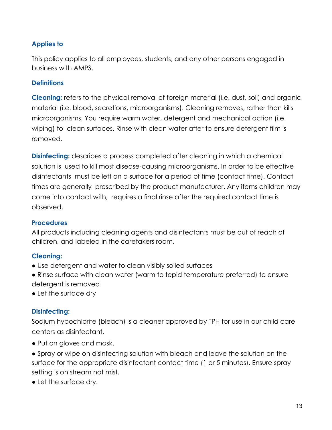## **Applies to**

This policy applies to all employees, students, and any other persons engaged in business with AMPS.

## **Definitions**

**Cleaning:** refers to the physical removal of foreign material (i.e. dust, soil) and organic material (i.e. blood, secretions, microorganisms). Cleaning removes, rather than kills microorganisms. You require warm water, detergent and mechanical action (i.e. wiping) to clean surfaces. Rinse with clean water after to ensure detergent film is removed.

**Disinfecting:** describes a process completed after cleaning in which a chemical solution is used to kill most disease-causing microorganisms. In order to be effective disinfectants must be left on a surface for a period of time (contact time). Contact times are generally prescribed by the product manufacturer. Any items children may come into contact with, requires a final rinse after the required contact time is observed.

## **Procedures**

All products including cleaning agents and disinfectants must be out of reach of children, and labeled in the caretakers room.

## **Cleaning:**

- Use detergent and water to clean visibly soiled surfaces
- Rinse surface with clean water (warm to tepid temperature preferred) to ensure detergent is removed
- Let the surface dry

## **Disinfecting:**

Sodium hypochlorite (bleach) is a cleaner approved by TPH for use in our child care centers as disinfectant.

- Put on gloves and mask.
- Spray or wipe on disinfecting solution with bleach and leave the solution on the surface for the appropriate disinfectant contact time (1 or 5 minutes). Ensure spray setting is on stream not mist.
- Let the surface dry.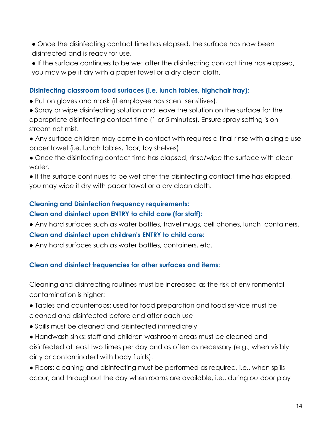- Once the disinfecting contact time has elapsed, the surface has now been disinfected and is ready for use.
- If the surface continues to be wet after the disinfecting contact time has elapsed, you may wipe it dry with a paper towel or a dry clean cloth.

## **Disinfecting classroom food surfaces (i.e. lunch tables, highchair tray):**

- Put on gloves and mask (if employee has scent sensitives).
- Spray or wipe disinfecting solution and leave the solution on the surface for the appropriate disinfecting contact time (1 or 5 minutes). Ensure spray setting is on stream not mist.
- Any surface children may come in contact with requires a final rinse with a single use paper towel (i.e. lunch tables, floor, toy shelves).
- Once the disinfecting contact time has elapsed, rinse/wipe the surface with clean water.
- If the surface continues to be wet after the disinfecting contact time has elapsed, you may wipe it dry with paper towel or a dry clean cloth.

## **Cleaning and Disinfection frequency requirements:**

## **Clean and disinfect upon ENTRY to child care (for staff):**

● Any hard surfaces such as water bottles, travel mugs, cell phones, lunch containers.

## **Clean and disinfect upon children's ENTRY to child care:**

● Any hard surfaces such as water bottles, containers, etc.

## **Clean and disinfect frequencies for other surfaces and items:**

Cleaning and disinfecting routines must be increased as the risk of environmental contamination is higher:

- Tables and countertops: used for food preparation and food service must be cleaned and disinfected before and after each use
- Spills must be cleaned and disinfected immediately
- Handwash sinks: staff and children washroom areas must be cleaned and disinfected at least two times per day and as often as necessary (e.g., when visibly dirty or contaminated with body fluids).
- Floors: cleaning and disinfecting must be performed as required, i.e., when spills occur, and throughout the day when rooms are available, i.e., during outdoor play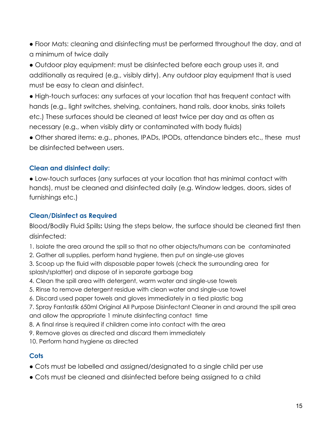● Floor Mats: cleaning and disinfecting must be performed throughout the day, and at a minimum of twice daily

● Outdoor play equipment: must be disinfected before each group uses it, and additionally as required (e.g., visibly dirty). Any outdoor play equipment that is used must be easy to clean and disinfect.

● High-touch surfaces: any surfaces at your location that has frequent contact with hands (e.g., light switches, shelving, containers, hand rails, door knobs, sinks toilets etc.) These surfaces should be cleaned at least twice per day and as often as necessary (e.g., when visibly dirty or contaminated with body fluids)

● Other shared items: e.g., phones, IPADs, IPODs, attendance binders etc., these must be disinfected between users.

## **Clean and disinfect daily:**

● Low-touch surfaces (any surfaces at your location that has minimal contact with hands), must be cleaned and disinfected daily (e.g. Window ledges, doors, sides of furnishings etc.)

## **Clean/Disinfect as Required**

Blood/Bodily Fluid Spills**:** Using the steps below, the surface should be cleaned first then disinfected:

- 1. Isolate the area around the spill so that no other objects/humans can be contaminated
- 2. Gather all supplies, perform hand hygiene, then put on single-use gloves
- 3. Scoop up the fluid with disposable paper towels (check the surrounding area for splash/splatter) and dispose of in separate garbage bag
- 4. Clean the spill area with detergent, warm water and single-use towels
- 5. Rinse to remove detergent residue with clean water and single-use towel
- 6. Discard used paper towels and gloves immediately in a tied plastic bag

7. Spray Fantastik 650ml Original All Purpose Disinfectant Cleaner in and around the spill area and allow the appropriate 1 minute disinfecting contact time

- 8. A final rinse is required if children come into contact with the area
- 9. Remove gloves as directed and discard them immediately

10. Perform hand hygiene as directed

## **Cots**

- Cots must be labelled and assigned/designated to a single child per use
- Cots must be cleaned and disinfected before being assigned to a child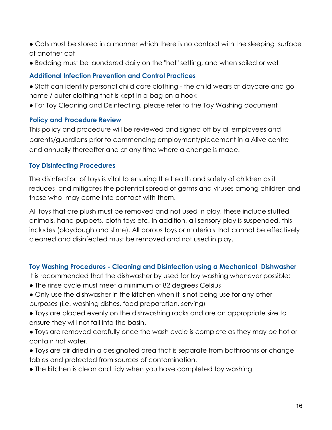- Cots must be stored in a manner which there is no contact with the sleeping surface of another cot
- Bedding must be laundered daily on the "hot" setting, and when soiled or wet

## **Additional Infection Prevention and Control Practices**

- Staff can identify personal child care clothing the child wears at daycare and go home / outer clothing that is kept in a bag on a hook
- For Toy Cleaning and Disinfecting, please refer to the Toy Washing document

## **Policy and Procedure Review**

This policy and procedure will be reviewed and signed off by all employees and parents/guardians prior to commencing employment/placement in a Alive centre and annually thereafter and at any time where a change is made.

## **Toy Disinfecting Procedures**

The disinfection of toys is vital to ensuring the health and safety of children as it reduces and mitigates the potential spread of germs and viruses among children and those who may come into contact with them.

All toys that are plush must be removed and not used in play, these include stuffed animals, hand puppets, cloth toys etc. In addition, all sensory play is suspended, this includes (playdough and slime). All porous toys or materials that cannot be effectively cleaned and disinfected must be removed and not used in play.

## **Toy Washing Procedures - Cleaning and Disinfection using a Mechanical Dishwasher**

It is recommended that the dishwasher by used for toy washing whenever possible:

- The rinse cycle must meet a minimum of 82 degrees Celsius
- Only use the dishwasher in the kitchen when it is not being use for any other purposes (i.e. washing dishes, food preparation, serving)
- Toys are placed evenly on the dishwashing racks and are an appropriate size to ensure they will not fall into the basin.
- Toys are removed carefully once the wash cycle is complete as they may be hot or contain hot water.
- Toys are air dried in a designated area that is separate from bathrooms or change tables and protected from sources of contamination.
- The kitchen is clean and tidy when you have completed toy washing.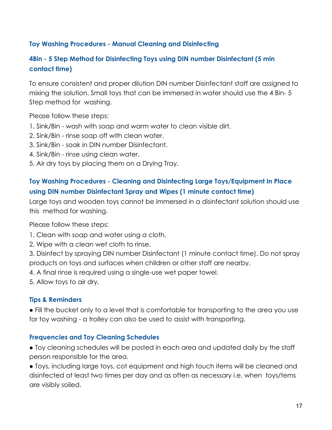## **Toy Washing Procedures - Manual Cleaning and Disinfecting**

## **4Bin - 5 Step Method for Disinfecting Toys using DIN number Disinfectant (5 min contact time)**

To ensure consistent and proper dilution DIN number Disinfectant staff are assigned to mixing the solution. Small toys that can be immersed in water should use the 4 Bin- 5 Step method for washing.

Please follow these steps:

- 1. Sink/Bin wash with soap and warm water to clean visible dirt.
- 2. Sink/Bin rinse soap off with clean water.
- 3. Sink/Bin soak in DIN number Disinfectant.
- 4. Sink/Bin rinse using clean water.
- 5. Air dry toys by placing them on a Drying Tray.

## **Toy Washing Procedures - Cleaning and Disinfecting Large Toys/Equipment In Place using DIN number Disinfectant Spray and Wipes (1 minute contact time)**

Large toys and wooden toys cannot be immersed in a disinfectant solution should use this method for washing.

Please follow these steps:

- 1. Clean with soap and water using a cloth.
- 2. Wipe with a clean wet cloth to rinse.

3. Disinfect by spraying DIN number Disinfectant (1 minute contact time). Do not spray products on toys and surfaces when children or other staff are nearby.

4. A final rinse is required using a single-use wet paper towel.

5. Allow toys to air dry.

#### **Tips & Reminders**

● Fill the bucket only to a level that is comfortable for transporting to the area you use for toy washing - a trolley can also be used to assist with transporting.

#### **Frequencies and Toy Cleaning Schedules**

● Toy cleaning schedules will be posted in each area and updated daily by the staff person responsible for the area.

● Toys, including large toys, cot equipment and high touch items will be cleaned and disinfected at least two times per day and as often as necessary i.e. when toys/tems are visibly soiled.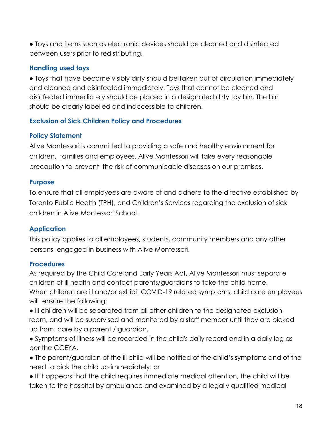● Toys and items such as electronic devices should be cleaned and disinfected between users prior to redistributing.

## **Handling used toys**

● Toys that have become visibly dirty should be taken out of circulation immediately and cleaned and disinfected immediately. Toys that cannot be cleaned and disinfected immediately should be placed in a designated dirty toy bin. The bin should be clearly labelled and inaccessible to children.

## **Exclusion of Sick Children Policy and Procedures**

## **Policy Statement**

Alive Montessori is committed to providing a safe and healthy environment for children, families and employees. Alive Montessori will take every reasonable precaution to prevent the risk of communicable diseases on our premises.

#### **Purpose**

To ensure that all employees are aware of and adhere to the directive established by Toronto Public Health (TPH), and Children's Services regarding the exclusion of sick children in Alive Montessori School.

## **Application**

This policy applies to all employees, students, community members and any other persons engaged in business with Alive Montessori.

## **Procedures**

As required by the Child Care and Early Years Act, Alive Montessori must separate children of ill health and contact parents/guardians to take the child home. When children are ill and/or exhibit COVID-19 related symptoms, child care employees will ensure the following:

● Ill children will be separated from all other children to the designated exclusion room, and will be supervised and monitored by a staff member until they are picked up from care by a parent / guardian.

● Symptoms of illness will be recorded in the child's daily record and in a daily log as per the CCEYA.

● The parent/guardian of the ill child will be notified of the child's symptoms and of the need to pick the child up immediately: or

● If it appears that the child requires immediate medical attention, the child will be taken to the hospital by ambulance and examined by a legally qualified medical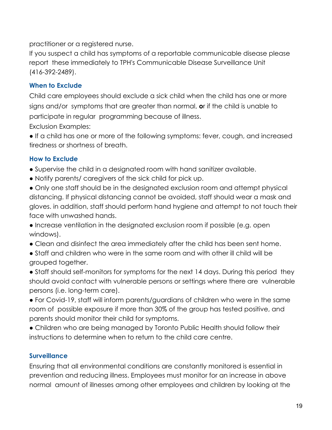practitioner or a registered nurse.

If you suspect a child has symptoms of a reportable communicable disease please report these immediately to TPH's Communicable Disease Surveillance Unit (416-392-2489).

## **When to Exclude**

Child care employees should exclude a sick child when the child has one or more signs and/or symptoms that are greater than normal, **o**r if the child is unable to participate in regular programming because of illness.

Exclusion Examples:

● If a child has one or more of the following symptoms: fever, cough, and increased tiredness or shortness of breath.

## **How to Exclude**

- Supervise the child in a designated room with hand sanitizer available.
- Notify parents/ caregivers of the sick child for pick up.

● Only one staff should be in the designated exclusion room and attempt physical distancing. If physical distancing cannot be avoided, staff should wear a mask and gloves. in addition, staff should perform hand hygiene and attempt to not touch their face with unwashed hands.

● Increase ventilation in the designated exclusion room if possible (e.g. open windows).

● Clean and disinfect the area immediately after the child has been sent home.

● Staff and children who were in the same room and with other ill child will be grouped together.

• Staff should self-monitors for symptoms for the next 14 days. During this period they should avoid contact with vulnerable persons or settings where there are vulnerable persons (i.e. long-term care).

● For Covid-19, staff will inform parents/guardians of children who were in the same room of possible exposure if more than 30% of the group has tested positive, and parents should monitor their child for symptoms.

● Children who are being managed by Toronto Public Health should follow their instructions to determine when to return to the child care centre.

## **Surveillance**

Ensuring that all environmental conditions are constantly monitored is essential in prevention and reducing illness. Employees must monitor for an increase in above normal amount of illnesses among other employees and children by looking at the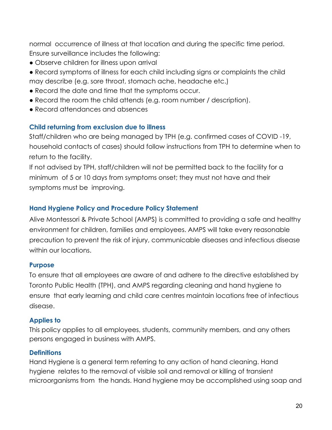normal occurrence of illness at that location and during the specific time period. Ensure surveillance includes the following:

- Observe children for illness upon arrival
- Record symptoms of illness for each child including signs or complaints the child may describe (e.g. sore throat, stomach ache, headache etc.)
- Record the date and time that the symptoms occur.
- Record the room the child attends (e.g. room number / description).
- Record attendances and absences

#### **Child returning from exclusion due to illness**

Staff/children who are being managed by TPH (e.g. confirmed cases of COVID -19, household contacts of cases) should follow instructions from TPH to determine when to return to the facility.

If not advised by TPH, staff/children will not be permitted back to the facility for a minimum of 5 or 10 days from symptoms onset; they must not have and their symptoms must be improving.

## **Hand Hygiene Policy and Procedure Policy Statement**

Alive Montessori & Private School (AMPS) is committed to providing a safe and healthy environment for children, families and employees. AMPS will take every reasonable precaution to prevent the risk of injury, communicable diseases and infectious disease within our locations.

#### **Purpose**

To ensure that all employees are aware of and adhere to the directive established by Toronto Public Health (TPH), and AMPS regarding cleaning and hand hygiene to ensure that early learning and child care centres maintain locations free of infectious disease.

## **Applies to**

This policy applies to all employees, students, community members, and any others persons engaged in business with AMPS.

## **Definitions**

Hand Hygiene is a general term referring to any action of hand cleaning. Hand hygiene relates to the removal of visible soil and removal or killing of transient microorganisms from the hands. Hand hygiene may be accomplished using soap and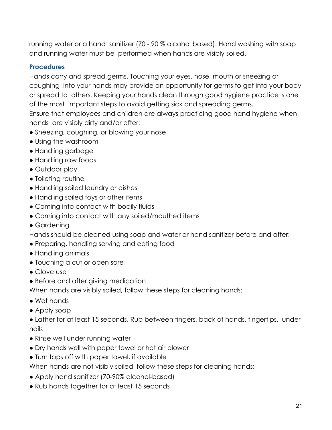running water or a hand sanitizer (70 - 90 % alcohol based). Hand washing with soap and running water must be performed when hands are visibly soiled.

## **Procedures**

Hands carry and spread germs. Touching your eyes, nose, mouth or sneezing or coughing into your hands may provide an opportunity for germs to get into your body or spread to others. Keeping your hands clean through good hygiene practice is one of the most important steps to avoid getting sick and spreading germs. Ensure that employees and children are always practicing good hand hygiene when hands are visibly dirty and/or after:

- Sneezing, coughing, or blowing your nose
- Using the washroom
- Handling garbage
- Handling raw foods
- Outdoor play
- Toileting routine
- Handling soiled laundry or dishes
- Handling soiled toys or other items
- Coming into contact with bodily fluids
- Coming into contact with any soiled/mouthed items
- Gardening

Hands should be cleaned using soap and water or hand sanitizer before and after:

- Preparing, handling serving and eating food
- Handling animals
- Touching a cut or open sore
- Glove use
- Before and after giving medication

When hands are visibly soiled, follow these steps for cleaning hands:

- Wet hands
- Apply soap

● Lather for at least 15 seconds. Rub between fingers, back of hands, fingertips, under nails

- Rinse well under running water
- Dry hands well with paper towel or hot air blower
- Turn taps off with paper towel, if available

When hands are not visibly soiled, follow these steps for cleaning hands:

- Apply hand sanitizer (70-90% alcohol-based)
- Rub hands together for at least 15 seconds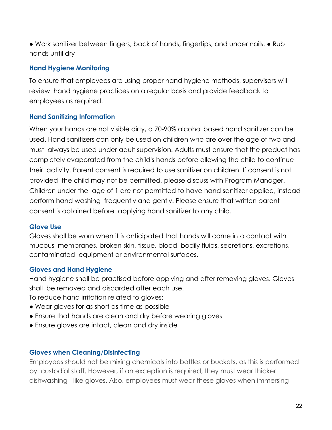● Work sanitizer between fingers, back of hands, fingertips, and under nails. ● Rub hands until dry

## **Hand Hygiene Monitoring**

To ensure that employees are using proper hand hygiene methods, supervisors will review hand hygiene practices on a regular basis and provide feedback to employees as required.

## **Hand Sanitizing Information**

When your hands are not visible dirty, a 70-90% alcohol based hand sanitizer can be used. Hand sanitizers can only be used on children who are over the age of two and must always be used under adult supervision. Adults must ensure that the product has completely evaporated from the child's hands before allowing the child to continue their activity. Parent consent is required to use sanitizer on children. If consent is not provided the child may not be permitted, please discuss with Program Manager. Children under the age of 1 are not permitted to have hand sanitizer applied, instead perform hand washing frequently and gently. Please ensure that written parent consent is obtained before applying hand sanitizer to any child.

#### **Glove Use**

Gloves shall be worn when it is anticipated that hands will come into contact with mucous membranes, broken skin, tissue, blood, bodily fluids, secretions, excretions, contaminated equipment or environmental surfaces.

## **Gloves and Hand Hygiene**

Hand hygiene shall be practised before applying and after removing gloves. Gloves shall be removed and discarded after each use.

To reduce hand irritation related to gloves:

- Wear gloves for as short as time as possible
- Ensure that hands are clean and dry before wearing gloves
- Ensure gloves are intact, clean and dry inside

#### **Gloves when Cleaning/Disinfecting**

Employees should not be mixing chemicals into bottles or buckets, as this is performed by custodial staff. However, if an exception is required, they must wear thicker dishwashing - like gloves. Also, employees must wear these gloves when immersing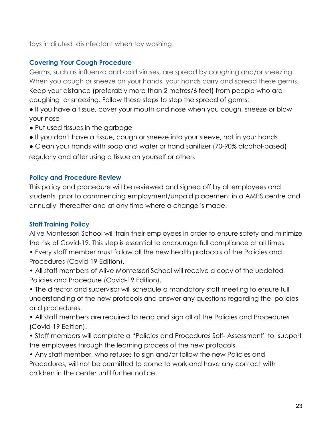toys in diluted disinfectant when toy washing.

## **Covering Your Cough Procedure**

Germs, such as influenza and cold viruses, are spread by coughing and/or sneezing. When you cough or sneeze on your hands, your hands carry and spread these germs. Keep your distance (preferably more than 2 metres/6 feet) from people who are coughing or sneezing. Follow these steps to stop the spread of germs:

● If you have a tissue, cover your mouth and nose when you cough, sneeze or blow your nose

- Put used tissues in the garbage
- If you don't have a tissue, cough or sneeze into your sleeve, not in your hands
- Clean your hands with soap and water or hand sanitizer (70-90% alcohol-based)

regularly and after using a tissue on yourself or others

#### **Policy and Procedure Review**

This policy and procedure will be reviewed and signed off by all employees and students prior to commencing employment/unpaid placement in a AMPS centre and annually thereafter and at any time where a change is made.

## **Staff Training Policy**

Alive Montessori School will train their employees in order to ensure safety and minimize the risk of Covid-19. This step is essential to encourage full compliance at all times.

• Every staff member must follow all the new health protocols of the Policies and Procedures (Covid-19 Edition).

• All staff members of Alive Montessori School will receive a copy of the updated Policies and Procedure (Covid-19 Edition).

• The director and supervisor will schedule a mandatory staff meeting to ensure full understanding of the new protocols and answer any questions regarding the policies and procedures.

• All staff members are required to read and sign all of the Policies and Procedures (Covid-19 Edition).

• Staff members will complete a "Policies and Procedures Self- Assessment" to support the employees through the learning process of the new protocols.

• Any staff member, who refuses to sign and/or follow the new Policies and Procedures, will not be permitted to come to work and have any contact with children in the center until further notice.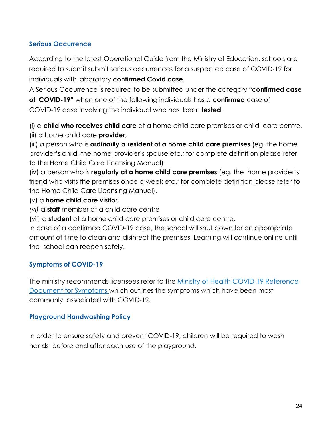## **Serious Occurrence**

According to the latest Operational Guide from the Ministry of Education, schools are required to submit submit serious occurrences for a suspected case of COVID-19 for individuals with laboratory **confirmed Covid case.**

A Serious Occurrence is required to be submitted under the category **"confirmed case of COVID-19"** when one of the following individuals has a **confirmed** case of COVID-19 case involving the individual who has been **tested**.

(i) a **child who receives child care** at a home child care premises or child care centre, (ii) a home child care **provider**,

(iii) a person who is **ordinarily a resident of a home child care premises** (eg. the home provider's child, the home provider's spouse etc.; for complete definition please refer to the Home Child Care Licensing Manual)

(iv) a person who is **regularly at a home child care premises** (eg. the home provider's friend who visits the premises once a week etc.; for complete definition please refer to the Home Child Care Licensing Manual),

- (v) a **home child care visitor**,
- *(vi)* a **staff** member at a child care centre
- (vii) a **student** at a home child care premises or child care centre,

In case of a confirmed COVID-19 case, the school will shut down for an appropriate amount of time to clean and disinfect the premises. Learning will continue online until the school can reopen safely.

## **Symptoms of COVID-19**

The ministry recommends licensees refer to the Ministry of Health COVID-19 Reference Document for Symptoms which outlines the symptoms which have been most commonly associated with COVID-19.

## **Playground Handwashing Policy**

In order to ensure safety and prevent COVID-19, children will be required to wash hands before and after each use of the playground.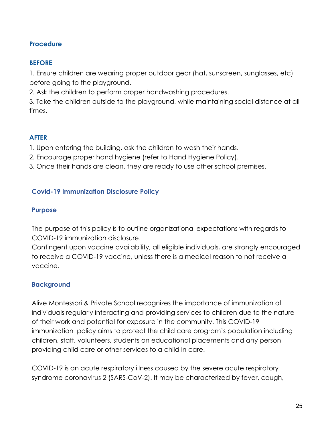## **Procedure**

## **BEFORE**

1. Ensure children are wearing proper outdoor gear (hat, sunscreen, sunglasses, etc) before going to the playground.

2. Ask the children to perform proper handwashing procedures.

3. Take the children outside to the playground, while maintaining social distance at all times.

#### **AFTER**

1. Upon entering the building, ask the children to wash their hands.

- 2. Encourage proper hand hygiene (refer to Hand Hygiene Policy).
- 3. Once their hands are clean, they are ready to use other school premises.

#### **Covid-19 Immunization Disclosure Policy**

#### **Purpose**

The purpose of this policy is to outline organizational expectations with regards to COVID-19 immunization disclosure.

Contingent upon vaccine availability, all eligible individuals, are strongly encouraged to receive a COVID-19 vaccine, unless there is a medical reason to not receive a vaccine.

## **Background**

Alive Montessori & Private School recognizes the importance of immunization of individuals regularly interacting and providing services to children due to the nature of their work and potential for exposure in the community. This COVID-19 immunization policy aims to protect the child care program's population including children, staff, volunteers, students on educational placements and any person providing child care or other services to a child in care.

COVID-19 is an acute respiratory illness caused by the severe acute respiratory syndrome coronavirus 2 (SARS-CoV-2). It may be characterized by fever, cough,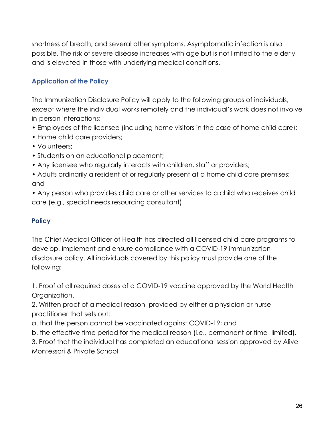shortness of breath, and several other symptoms. Asymptomatic infection is also possible. The risk of severe disease increases with age but is not limited to the elderly and is elevated in those with underlying medical conditions.

## **Application of the Policy**

The Immunization Disclosure Policy will apply to the following groups of individuals, except where the individual works remotely and the individual's work does not involve in-person interactions:

- Employees of the licensee (including home visitors in the case of home child care);
- Home child care providers;
- Volunteers:
- Students on an educational placement;
- Any licensee who regularly interacts with children, staff or providers;

• Adults ordinarily a resident of or regularly present at a home child care premises; and

• Any person who provides child care or other services to a child who receives child care (e.g., special needs resourcing consultant)

## **Policy**

The Chief Medical Officer of Health has directed all licensed child-care programs to develop, implement and ensure compliance with a COVID-19 immunization disclosure policy. All individuals covered by this policy must provide one of the following:

1. Proof of all required doses of a COVID-19 vaccine approved by the World Health Organization.

2. Written proof of a medical reason, provided by either a physician or nurse practitioner that sets out:

- a. that the person cannot be vaccinated against COVID-19; and
- b. the effective time period for the medical reason (i.e., permanent or time- limited).

3. Proof that the individual has completed an educational session approved by Alive Montessori & Private School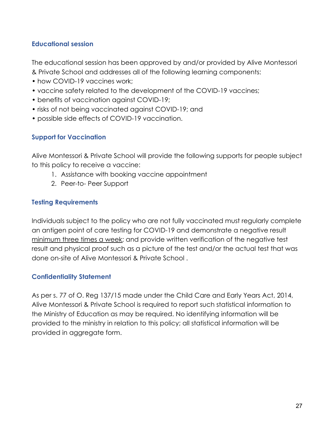## **Educational session**

The educational session has been approved by and/or provided by Alive Montessori & Private School and addresses all of the following learning components:

- how COVID-19 vaccines work:
- vaccine safety related to the development of the COVID-19 vaccines;
- benefits of vaccination against COVID-19;
- risks of not being vaccinated against COVID-19; and
- possible side effects of COVID-19 vaccination.

#### **Support for Vaccination**

Alive Montessori & Private School will provide the following supports for people subject to this policy to receive a vaccine:

- 1. Assistance with booking vaccine appointment
- 2. Peer-to- Peer Support

#### **Testing Requirements**

Individuals subject to the policy who are not fully vaccinated must regularly complete an antigen point of care testing for COVID-19 and demonstrate a negative result minimum three times a week; and provide written verification of the negative test result and physical proof such as a picture of the test and/or the actual test that was done on-site of Alive Montessori & Private School .

#### **Confidentiality Statement**

As per s. 77 of O. Reg 137/15 made under the Child Care and Early Years Act, 2014, Alive Montessori & Private School is required to report such statistical information to the Ministry of Education as may be required. No identifying information will be provided to the ministry in relation to this policy; all statistical information will be provided in aggregate form.